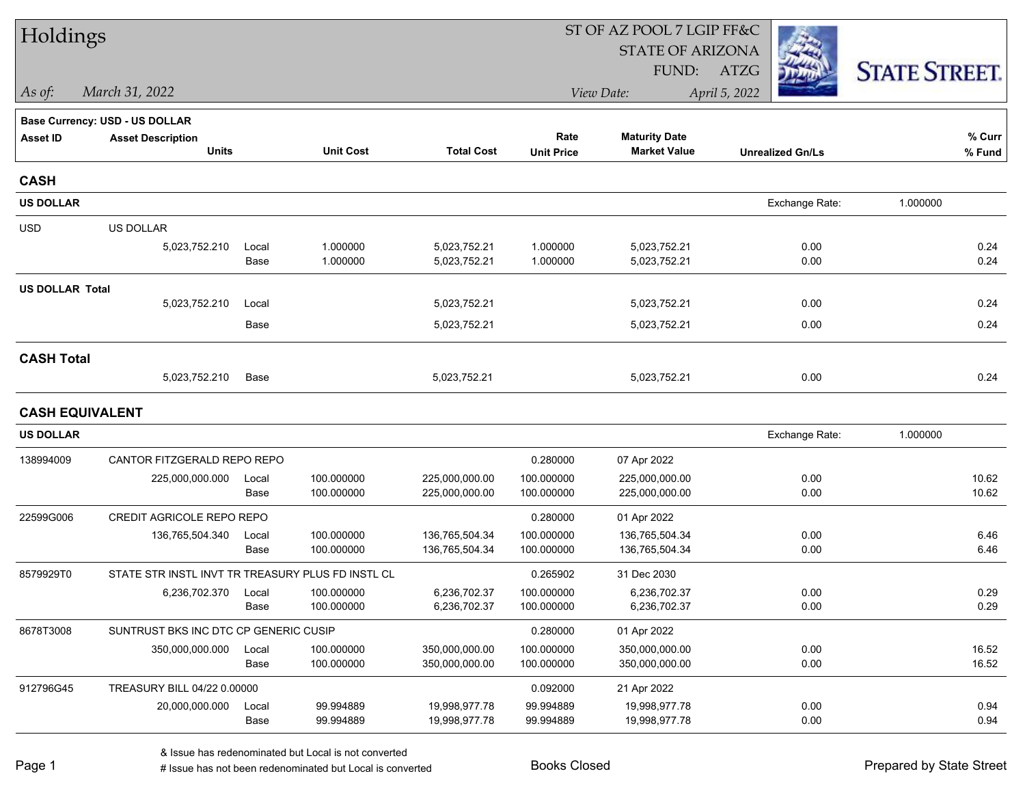| Holdings               |                                                   |       |                  |                   |                   | ST OF AZ POOL 7 LGIP FF&C |                         |                      |
|------------------------|---------------------------------------------------|-------|------------------|-------------------|-------------------|---------------------------|-------------------------|----------------------|
|                        |                                                   |       |                  |                   |                   | <b>STATE OF ARIZONA</b>   |                         |                      |
|                        |                                                   |       |                  |                   |                   | FUND:                     | ATZG                    | <b>STATE STREET.</b> |
| As of:                 | March 31, 2022                                    |       |                  |                   |                   | View Date:                | April 5, 2022           |                      |
|                        | <b>Base Currency: USD - US DOLLAR</b>             |       |                  |                   |                   |                           |                         |                      |
| <b>Asset ID</b>        | <b>Asset Description</b>                          |       |                  |                   | Rate              | <b>Maturity Date</b>      |                         | % Curr               |
|                        | <b>Units</b>                                      |       | <b>Unit Cost</b> | <b>Total Cost</b> | <b>Unit Price</b> | <b>Market Value</b>       | <b>Unrealized Gn/Ls</b> | % Fund               |
| <b>CASH</b>            |                                                   |       |                  |                   |                   |                           |                         |                      |
| <b>US DOLLAR</b>       |                                                   |       |                  |                   |                   |                           | Exchange Rate:          | 1.000000             |
| <b>USD</b>             | US DOLLAR                                         |       |                  |                   |                   |                           |                         |                      |
|                        | 5,023,752.210                                     | Local | 1.000000         | 5,023,752.21      | 1.000000          | 5,023,752.21              | 0.00                    | 0.24                 |
|                        |                                                   | Base  | 1.000000         | 5,023,752.21      | 1.000000          | 5,023,752.21              | 0.00                    | 0.24                 |
| <b>US DOLLAR Total</b> |                                                   |       |                  |                   |                   |                           |                         |                      |
|                        | 5,023,752.210                                     | Local |                  | 5,023,752.21      |                   | 5,023,752.21              | 0.00                    | 0.24                 |
|                        |                                                   | Base  |                  | 5,023,752.21      |                   | 5,023,752.21              | 0.00                    | 0.24                 |
| <b>CASH Total</b>      |                                                   |       |                  |                   |                   |                           |                         |                      |
|                        | 5,023,752.210                                     | Base  |                  | 5,023,752.21      |                   | 5,023,752.21              | 0.00                    | 0.24                 |
| <b>CASH EQUIVALENT</b> |                                                   |       |                  |                   |                   |                           |                         |                      |
| <b>US DOLLAR</b>       |                                                   |       |                  |                   |                   |                           | Exchange Rate:          | 1.000000             |
| 138994009              | CANTOR FITZGERALD REPO REPO                       |       |                  |                   | 0.280000          | 07 Apr 2022               |                         |                      |
|                        | 225,000,000.000                                   | Local | 100.000000       | 225,000,000.00    | 100.000000        | 225,000,000.00            | 0.00                    | 10.62                |
|                        |                                                   | Base  | 100.000000       | 225,000,000.00    | 100.000000        | 225,000,000.00            | 0.00                    | 10.62                |
| 22599G006              | CREDIT AGRICOLE REPO REPO                         |       |                  |                   | 0.280000          | 01 Apr 2022               |                         |                      |
|                        | 136,765,504.340                                   | Local | 100.000000       | 136,765,504.34    | 100.000000        | 136,765,504.34            | 0.00                    | 6.46                 |
|                        |                                                   | Base  | 100.000000       | 136,765,504.34    | 100.000000        | 136,765,504.34            | 0.00                    | 6.46                 |
| 8579929T0              | STATE STR INSTL INVT TR TREASURY PLUS FD INSTL CL |       |                  |                   | 0.265902          | 31 Dec 2030               |                         |                      |
|                        | 6,236,702.370                                     | Local | 100.000000       | 6,236,702.37      | 100.000000        | 6,236,702.37              | 0.00                    | 0.29                 |
|                        |                                                   | Base  | 100.000000       | 6,236,702.37      | 100.000000        | 6,236,702.37              | 0.00                    | 0.29                 |
| 8678T3008              | SUNTRUST BKS INC DTC CP GENERIC CUSIP             |       |                  |                   | 0.280000          | 01 Apr 2022               |                         |                      |
|                        | 350,000,000.000                                   | Local | 100.000000       | 350,000,000.00    | 100.000000        | 350,000,000.00            | 0.00                    | 16.52                |
|                        |                                                   | Base  | 100.000000       | 350,000,000.00    | 100.000000        | 350,000,000.00            | 0.00                    | 16.52                |
| 912796G45              | TREASURY BILL 04/22 0.00000                       |       |                  |                   | 0.092000          | 21 Apr 2022               |                         |                      |
|                        | 20,000,000.000                                    | Local | 99.994889        | 19,998,977.78     | 99.994889         | 19,998,977.78             | 0.00                    | 0.94                 |
|                        |                                                   | Base  | 99.994889        | 19,998,977.78     | 99.994889         | 19,998,977.78             | 0.00                    | 0.94                 |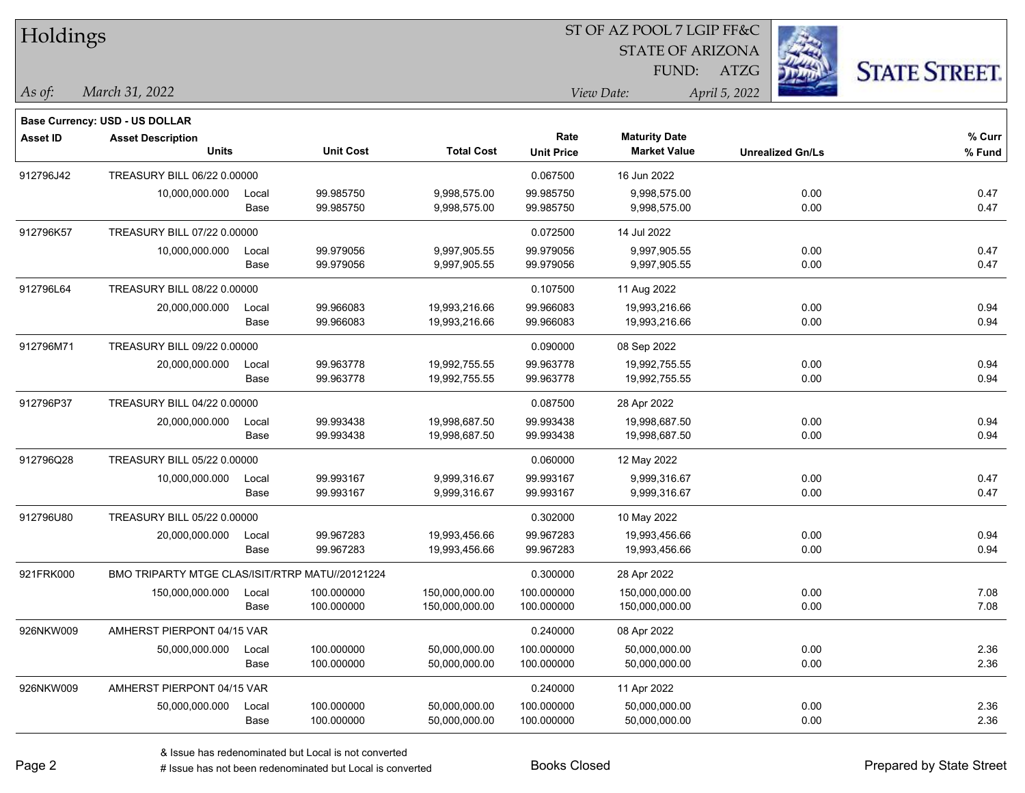| Holdings        |                                                                   |       |                  |                   |                   | ST OF AZ POOL 7 LGIP FF&C |                         |                      |
|-----------------|-------------------------------------------------------------------|-------|------------------|-------------------|-------------------|---------------------------|-------------------------|----------------------|
|                 |                                                                   |       |                  |                   |                   | <b>STATE OF ARIZONA</b>   |                         |                      |
|                 |                                                                   |       |                  |                   |                   | FUND:                     | ATZG                    | <b>STATE STREET.</b> |
| $\vert$ As of:  | March 31, 2022                                                    |       |                  |                   |                   | View Date:                | April 5, 2022           |                      |
|                 |                                                                   |       |                  |                   |                   |                           |                         |                      |
| <b>Asset ID</b> | <b>Base Currency: USD - US DOLLAR</b><br><b>Asset Description</b> |       |                  |                   | Rate              | <b>Maturity Date</b>      |                         | % Curr               |
|                 | <b>Units</b>                                                      |       | <b>Unit Cost</b> | <b>Total Cost</b> | <b>Unit Price</b> | <b>Market Value</b>       | <b>Unrealized Gn/Ls</b> | % Fund               |
| 912796J42       | TREASURY BILL 06/22 0.00000                                       |       |                  |                   | 0.067500          | 16 Jun 2022               |                         |                      |
|                 | 10,000,000.000                                                    | Local | 99.985750        | 9,998,575.00      | 99.985750         | 9,998,575.00              | 0.00                    | 0.47                 |
|                 |                                                                   | Base  | 99.985750        | 9,998,575.00      | 99.985750         | 9,998,575.00              | 0.00                    | 0.47                 |
| 912796K57       | TREASURY BILL 07/22 0.00000                                       |       |                  |                   | 0.072500          | 14 Jul 2022               |                         |                      |
|                 | 10,000,000.000                                                    | Local | 99.979056        | 9,997,905.55      | 99.979056         | 9,997,905.55              | 0.00                    | 0.47                 |
|                 |                                                                   | Base  | 99.979056        | 9,997,905.55      | 99.979056         | 9,997,905.55              | 0.00                    | 0.47                 |
| 912796L64       | TREASURY BILL 08/22 0.00000                                       |       |                  |                   | 0.107500          | 11 Aug 2022               |                         |                      |
|                 | 20,000,000.000                                                    | Local | 99.966083        | 19,993,216.66     | 99.966083         | 19,993,216.66             | 0.00                    | 0.94                 |
|                 |                                                                   | Base  | 99.966083        | 19,993,216.66     | 99.966083         | 19,993,216.66             | 0.00                    | 0.94                 |
| 912796M71       | TREASURY BILL 09/22 0.00000                                       |       |                  |                   | 0.090000          | 08 Sep 2022               |                         |                      |
|                 | 20,000,000.000                                                    | Local | 99.963778        | 19,992,755.55     | 99.963778         | 19,992,755.55             | 0.00                    | 0.94                 |
|                 |                                                                   | Base  | 99.963778        | 19,992,755.55     | 99.963778         | 19,992,755.55             | 0.00                    | 0.94                 |
| 912796P37       | TREASURY BILL 04/22 0.00000                                       |       |                  |                   | 0.087500          | 28 Apr 2022               |                         |                      |
|                 | 20,000,000.000                                                    | Local | 99.993438        | 19,998,687.50     | 99.993438         | 19,998,687.50             | 0.00                    | 0.94                 |
|                 |                                                                   | Base  | 99.993438        | 19,998,687.50     | 99.993438         | 19,998,687.50             | 0.00                    | 0.94                 |
| 912796Q28       | TREASURY BILL 05/22 0.00000                                       |       |                  |                   | 0.060000          | 12 May 2022               |                         |                      |
|                 | 10,000,000.000                                                    | Local | 99.993167        | 9,999,316.67      | 99.993167         | 9,999,316.67              | 0.00                    | 0.47                 |
|                 |                                                                   | Base  | 99.993167        | 9,999,316.67      | 99.993167         | 9,999,316.67              | 0.00                    | 0.47                 |
| 912796U80       | TREASURY BILL 05/22 0.00000                                       |       |                  |                   | 0.302000          | 10 May 2022               |                         |                      |
|                 | 20,000,000.000                                                    | Local | 99.967283        | 19,993,456.66     | 99.967283         | 19,993,456.66             | 0.00                    | 0.94                 |
|                 |                                                                   | Base  | 99.967283        | 19,993,456.66     | 99.967283         | 19,993,456.66             | 0.00                    | 0.94                 |
| 921FRK000       | BMO TRIPARTY MTGE CLAS/ISIT/RTRP MATU//20121224                   |       |                  |                   | 0.300000          | 28 Apr 2022               |                         |                      |
|                 | 150,000,000.000                                                   | Local | 100.000000       | 150,000,000.00    | 100.000000        | 150,000,000.00            | 0.00                    | 7.08                 |
|                 |                                                                   | Base  | 100.000000       | 150,000,000.00    | 100.000000        | 150,000,000.00            | 0.00                    | 7.08                 |
| 926NKW009       | AMHERST PIERPONT 04/15 VAR                                        |       |                  |                   | 0.240000          | 08 Apr 2022               |                         |                      |
|                 | 50,000,000.000                                                    | Local | 100.000000       | 50,000,000.00     | 100.000000        | 50,000,000.00             | 0.00                    | 2.36                 |
|                 |                                                                   | Base  | 100.000000       | 50,000,000.00     | 100.000000        | 50,000,000.00             | 0.00                    | 2.36                 |
| 926NKW009       | AMHERST PIERPONT 04/15 VAR                                        |       |                  |                   | 0.240000          | 11 Apr 2022               |                         |                      |
|                 | 50,000,000.000                                                    | Local | 100.000000       | 50,000,000.00     | 100.000000        | 50,000,000.00             | 0.00                    | 2.36                 |
|                 |                                                                   | Base  | 100.000000       | 50,000,000.00     | 100.000000        | 50,000,000.00             | 0.00                    | 2.36                 |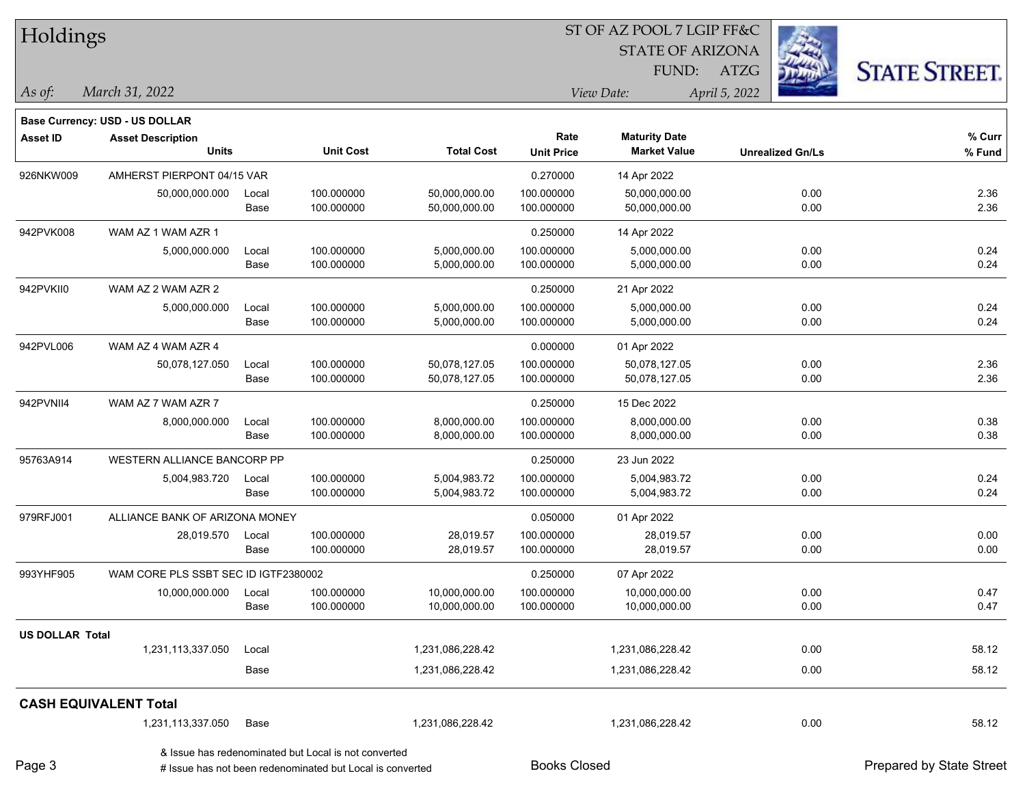| Holdings               |                                       |               |                                                           |                   |                     | ST OF AZ POOL 7 LGIP FF&C |                         |                          |  |
|------------------------|---------------------------------------|---------------|-----------------------------------------------------------|-------------------|---------------------|---------------------------|-------------------------|--------------------------|--|
|                        |                                       |               |                                                           |                   |                     | <b>STATE OF ARIZONA</b>   |                         |                          |  |
|                        |                                       |               |                                                           |                   |                     | FUND:                     | ATZG                    | <b>STATE STREET.</b>     |  |
| As of:                 | March 31, 2022                        |               |                                                           |                   |                     | View Date:                | April 5, 2022           |                          |  |
|                        | <b>Base Currency: USD - US DOLLAR</b> |               |                                                           |                   |                     |                           |                         |                          |  |
| <b>Asset ID</b>        | <b>Asset Description</b>              |               |                                                           |                   | Rate                | <b>Maturity Date</b>      |                         | % Curr                   |  |
|                        | <b>Units</b>                          |               | <b>Unit Cost</b>                                          | <b>Total Cost</b> | <b>Unit Price</b>   | <b>Market Value</b>       | <b>Unrealized Gn/Ls</b> | % Fund                   |  |
| 926NKW009              | AMHERST PIERPONT 04/15 VAR            |               |                                                           |                   | 0.270000            | 14 Apr 2022               |                         |                          |  |
|                        | 50,000,000.000                        | Local         | 100.000000                                                | 50,000,000.00     | 100.000000          | 50,000,000.00             | 0.00                    | 2.36                     |  |
|                        |                                       | Base          | 100.000000                                                | 50,000,000.00     | 100.000000          | 50,000,000.00             | 0.00                    | 2.36                     |  |
| 942PVK008              | WAM AZ 1 WAM AZR 1                    |               |                                                           |                   | 0.250000            | 14 Apr 2022               |                         |                          |  |
|                        | 5,000,000.000                         | Local         | 100.000000                                                | 5,000,000.00      | 100.000000          | 5,000,000.00              | 0.00                    | 0.24                     |  |
|                        |                                       | Base          | 100.000000                                                | 5,000,000.00      | 100.000000          | 5,000,000.00              | 0.00                    | 0.24                     |  |
| 942PVKII0              | WAM AZ 2 WAM AZR 2                    |               |                                                           |                   | 0.250000            | 21 Apr 2022               |                         |                          |  |
|                        | 5,000,000.000                         | Local         | 100.000000                                                | 5,000,000.00      | 100.000000          | 5,000,000.00              | 0.00                    | 0.24                     |  |
|                        |                                       | Base          | 100.000000                                                | 5,000,000.00      | 100.000000          | 5,000,000.00              | 0.00                    | 0.24                     |  |
| 942PVL006              | WAM AZ 4 WAM AZR 4                    |               |                                                           |                   | 0.000000            | 01 Apr 2022               |                         |                          |  |
|                        | 50,078,127.050                        | Local         | 100.000000                                                | 50,078,127.05     | 100.000000          | 50,078,127.05             | 0.00                    | 2.36                     |  |
|                        |                                       | Base          | 100.000000                                                | 50,078,127.05     | 100.000000          | 50,078,127.05             | 0.00                    | 2.36                     |  |
| 942PVNII4              | WAM AZ 7 WAM AZR 7                    |               |                                                           |                   | 0.250000            | 15 Dec 2022               |                         |                          |  |
|                        | 8,000,000.000                         | Local         | 100.000000                                                | 8,000,000.00      | 100.000000          | 8,000,000.00              | 0.00                    | 0.38                     |  |
|                        |                                       | Base          | 100.000000                                                | 8,000,000.00      | 100.000000          | 8,000,000.00              | 0.00                    | 0.38                     |  |
| 95763A914              | WESTERN ALLIANCE BANCORP PP           |               |                                                           |                   | 0.250000            | 23 Jun 2022               |                         |                          |  |
|                        | 5,004,983.720                         | Local         | 100.000000                                                | 5,004,983.72      | 100.000000          | 5,004,983.72              | 0.00                    | 0.24                     |  |
|                        |                                       | Base          | 100.000000                                                | 5,004,983.72      | 100.000000          | 5,004,983.72              | 0.00                    | 0.24                     |  |
| 979RFJ001              | ALLIANCE BANK OF ARIZONA MONEY        |               |                                                           |                   | 0.050000            | 01 Apr 2022               |                         |                          |  |
|                        | 28,019.570                            | Local         | 100.000000                                                | 28,019.57         | 100.000000          | 28,019.57                 | 0.00                    | 0.00                     |  |
|                        |                                       | Base          | 100.000000                                                | 28,019.57         | 100.000000          | 28,019.57                 | 0.00                    | 0.00                     |  |
| 993YHF905              | WAM CORE PLS SSBT SEC ID IGTF2380002  |               |                                                           |                   | 0.250000            | 07 Apr 2022               |                         |                          |  |
|                        | 10,000,000.000                        | Local<br>Base | 100.000000<br>100.000000                                  | 10,000,000.00     | 100.000000          | 10,000,000.00             | 0.00<br>0.00            | 0.47<br>0.47             |  |
|                        |                                       |               |                                                           | 10,000,000.00     | 100.000000          | 10,000,000.00             |                         |                          |  |
| <b>US DOLLAR Total</b> |                                       |               |                                                           |                   |                     |                           |                         |                          |  |
|                        | 1,231,113,337.050                     | Local         |                                                           | 1,231,086,228.42  |                     | 1,231,086,228.42          | 0.00                    | 58.12                    |  |
|                        |                                       | Base          |                                                           | 1,231,086,228.42  |                     | 1,231,086,228.42          | 0.00                    | 58.12                    |  |
|                        | <b>CASH EQUIVALENT Total</b>          |               |                                                           |                   |                     |                           |                         |                          |  |
|                        | 1,231,113,337.050                     | Base          |                                                           | 1,231,086,228.42  |                     | 1,231,086,228.42          | 0.00                    | 58.12                    |  |
|                        |                                       |               | & Issue has redenominated but Local is not converted      |                   |                     |                           |                         |                          |  |
| Page 3                 |                                       |               | # Issue has not been redenominated but Local is converted |                   | <b>Books Closed</b> |                           |                         | Prepared by State Street |  |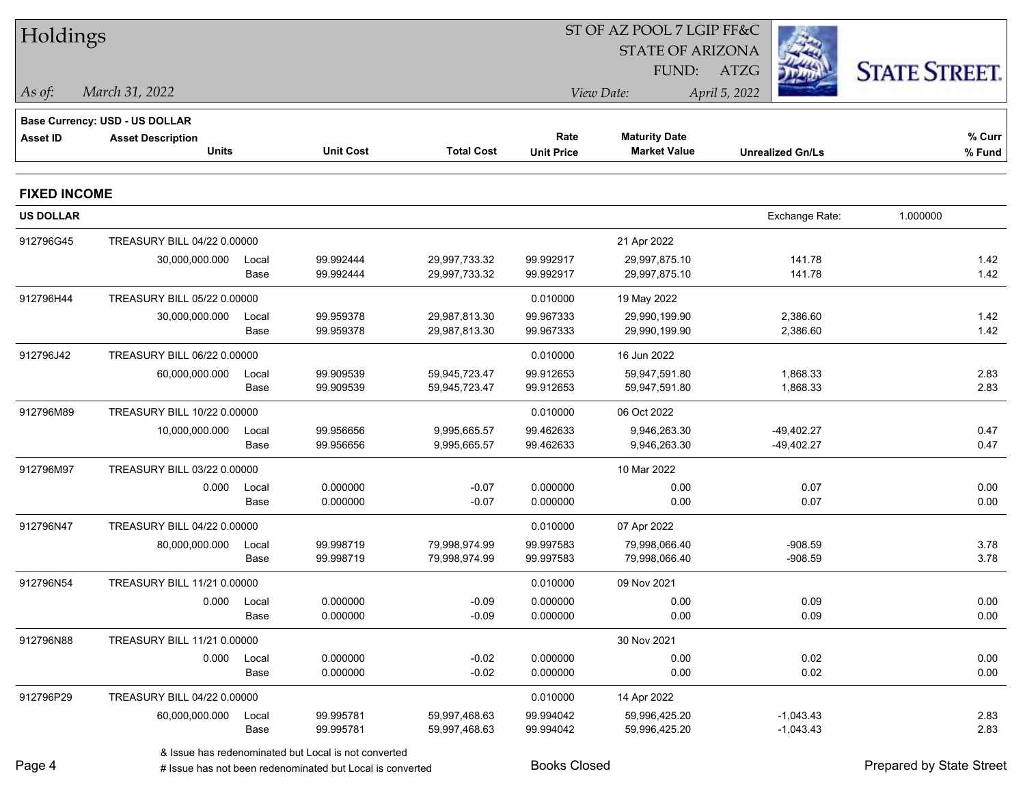| Holdings            |                                                            |             |                                                      |                   |                   | ST OF AZ POOL 7 LGIP FF&C |                         |                      |
|---------------------|------------------------------------------------------------|-------------|------------------------------------------------------|-------------------|-------------------|---------------------------|-------------------------|----------------------|
|                     |                                                            |             |                                                      |                   |                   | <b>STATE OF ARIZONA</b>   |                         |                      |
|                     |                                                            |             |                                                      |                   |                   | FUND:                     | ATZG                    | <b>STATE STREET.</b> |
| As of:              | March 31, 2022                                             |             |                                                      |                   |                   | View Date:                | April 5, 2022           |                      |
|                     |                                                            |             |                                                      |                   |                   |                           |                         |                      |
| <b>Asset ID</b>     | Base Currency: USD - US DOLLAR<br><b>Asset Description</b> |             |                                                      |                   | Rate              | <b>Maturity Date</b>      |                         | % Curr               |
|                     | <b>Units</b>                                               |             | <b>Unit Cost</b>                                     | <b>Total Cost</b> | <b>Unit Price</b> | <b>Market Value</b>       | <b>Unrealized Gn/Ls</b> | % Fund               |
| <b>FIXED INCOME</b> |                                                            |             |                                                      |                   |                   |                           |                         |                      |
| <b>US DOLLAR</b>    |                                                            |             |                                                      |                   |                   |                           | Exchange Rate:          | 1.000000             |
| 912796G45           | TREASURY BILL 04/22 0.00000                                |             |                                                      |                   |                   | 21 Apr 2022               |                         |                      |
|                     | 30,000,000.000                                             | Local       | 99.992444                                            | 29,997,733.32     | 99.992917         | 29,997,875.10             | 141.78                  | 1.42                 |
|                     |                                                            | Base        | 99.992444                                            | 29,997,733.32     | 99.992917         | 29,997,875.10             | 141.78                  | 1.42                 |
| 912796H44           | TREASURY BILL 05/22 0.00000                                |             |                                                      |                   | 0.010000          | 19 May 2022               |                         |                      |
|                     | 30,000,000.000                                             | Local       | 99.959378                                            | 29,987,813.30     | 99.967333         | 29,990,199.90             | 2,386.60                | 1.42                 |
|                     |                                                            | Base        | 99.959378                                            | 29,987,813.30     | 99.967333         | 29,990,199.90             | 2,386.60                | 1.42                 |
| 912796J42           | TREASURY BILL 06/22 0.00000                                |             |                                                      |                   | 0.010000          | 16 Jun 2022               |                         |                      |
|                     | 60,000,000.000                                             | Local       | 99.909539                                            | 59,945,723.47     | 99.912653         | 59,947,591.80             | 1,868.33                | 2.83                 |
|                     |                                                            | Base        | 99.909539                                            | 59,945,723.47     | 99.912653         | 59,947,591.80             | 1,868.33                | 2.83                 |
| 912796M89           | TREASURY BILL 10/22 0.00000                                |             |                                                      |                   | 0.010000          | 06 Oct 2022               |                         |                      |
|                     | 10,000,000.000                                             | Local       | 99.956656                                            | 9,995,665.57      | 99.462633         | 9,946,263.30              | $-49,402.27$            | 0.47                 |
|                     |                                                            | Base        | 99.956656                                            | 9,995,665.57      | 99.462633         | 9,946,263.30              | $-49,402.27$            | 0.47                 |
| 912796M97           | TREASURY BILL 03/22 0.00000                                |             |                                                      |                   |                   | 10 Mar 2022               |                         |                      |
|                     | 0.000                                                      | Local       | 0.000000                                             | $-0.07$           | 0.000000          | 0.00                      | 0.07                    | 0.00                 |
|                     |                                                            | Base        | 0.000000                                             | $-0.07$           | 0.000000          | 0.00                      | 0.07                    | 0.00                 |
| 912796N47           | TREASURY BILL 04/22 0.00000                                |             |                                                      |                   | 0.010000          | 07 Apr 2022               |                         |                      |
|                     | 80,000,000.000                                             | Local       | 99.998719                                            | 79,998,974.99     | 99.997583         | 79,998,066.40             | $-908.59$               | 3.78                 |
|                     |                                                            | Base        | 99.998719                                            | 79,998,974.99     | 99.997583         | 79,998,066.40             | $-908.59$               | 3.78                 |
| 912796N54           | TREASURY BILL 11/21 0.00000                                |             |                                                      |                   | 0.010000          | 09 Nov 2021               |                         |                      |
|                     |                                                            | 0.000 Local | 0.000000                                             | $-0.09$           | 0.000000          | 0.00                      | 0.09                    | 0.00                 |
|                     |                                                            | Base        | 0.000000                                             | $-0.09$           | 0.000000          | 0.00                      | 0.09                    | 0.00                 |
| 912796N88           | TREASURY BILL 11/21 0.00000                                |             |                                                      |                   |                   | 30 Nov 2021               |                         |                      |
|                     | 0.000                                                      | Local       | 0.000000                                             | $-0.02$           | 0.000000          | 0.00                      | 0.02                    | 0.00                 |
|                     |                                                            | Base        | 0.000000                                             | $-0.02$           | 0.000000          | 0.00                      | 0.02                    | 0.00                 |
| 912796P29           | TREASURY BILL 04/22 0.00000                                |             |                                                      |                   | 0.010000          | 14 Apr 2022               |                         |                      |
|                     | 60,000,000.000                                             | Local       | 99.995781                                            | 59,997,468.63     | 99.994042         | 59,996,425.20             | $-1,043.43$             | 2.83                 |
|                     |                                                            | Base        | 99.995781                                            | 59,997,468.63     | 99.994042         | 59,996,425.20             | $-1,043.43$             | 2.83                 |
|                     |                                                            |             | 8 leguo has rodonominated but Local is not converted |                   |                   |                           |                         |                      |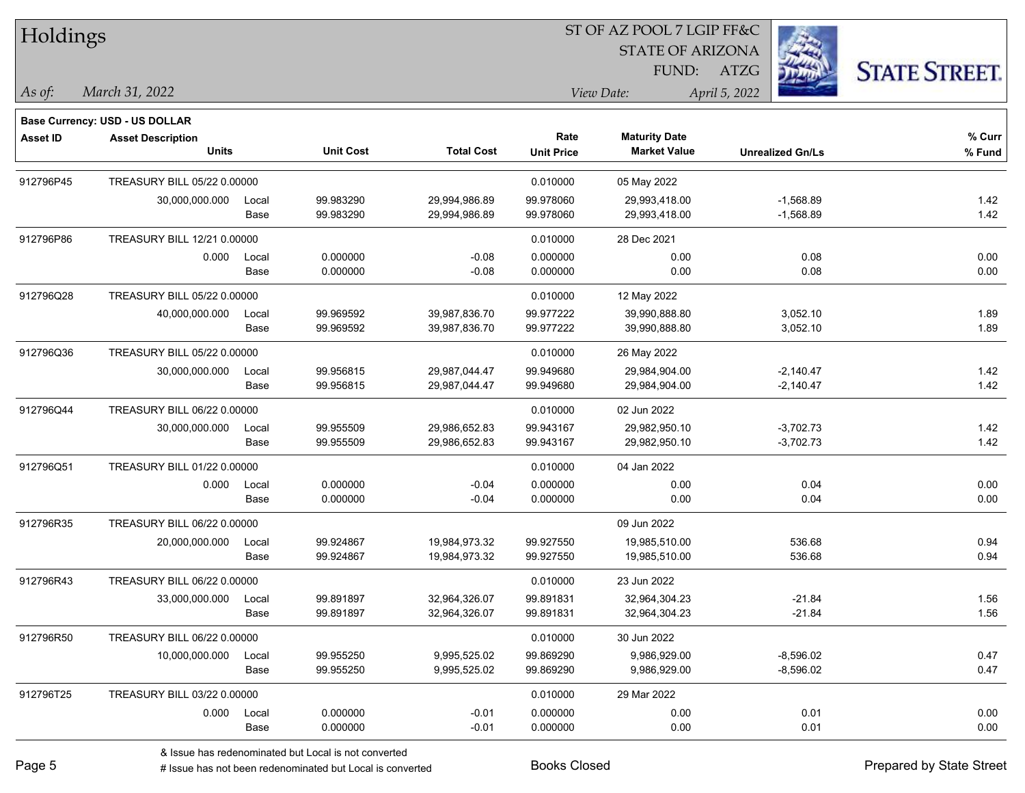Holdings

#### ST OF AZ POOL 7 LGIP FF&C

STATE OF ARIZONA

FUND: ATZG



**Base Currency: USD - US DOLLAR**

| As of: | 2022<br>$\mathbf{a}$<br>$\alpha$ ucla<br>IVIAY (<br>ור | <i>Date:</i> | ״ר∩ר |
|--------|--------------------------------------------------------|--------------|------|
|        |                                                        |              |      |

| <b>Asset ID</b> | <b>Asset Description</b><br><b>Units</b> |       | <b>Unit Cost</b> | <b>Total Cost</b> | Rate<br><b>Unit Price</b> | <b>Maturity Date</b><br><b>Market Value</b> | <b>Unrealized Gn/Ls</b> | % Curr<br>% Fund |
|-----------------|------------------------------------------|-------|------------------|-------------------|---------------------------|---------------------------------------------|-------------------------|------------------|
|                 |                                          |       |                  |                   |                           |                                             |                         |                  |
| 912796P45       | TREASURY BILL 05/22 0.00000              |       |                  |                   | 0.010000                  | 05 May 2022                                 |                         |                  |
|                 | 30,000,000.000                           | Local | 99.983290        | 29,994,986.89     | 99.978060                 | 29,993,418.00                               | $-1,568.89$             | 1.42             |
|                 |                                          | Base  | 99.983290        | 29,994,986.89     | 99.978060                 | 29,993,418.00                               | $-1,568.89$             | 1.42             |
| 912796P86       | TREASURY BILL 12/21 0.00000              |       |                  |                   | 0.010000                  | 28 Dec 2021                                 |                         |                  |
|                 | 0.000                                    | Local | 0.000000         | $-0.08$           | 0.000000                  | 0.00                                        | 0.08                    | 0.00             |
|                 |                                          | Base  | 0.000000         | $-0.08$           | 0.000000                  | 0.00                                        | 0.08                    | 0.00             |
| 912796Q28       | TREASURY BILL 05/22 0.00000              |       |                  |                   | 0.010000                  | 12 May 2022                                 |                         |                  |
|                 | 40,000,000.000                           | Local | 99.969592        | 39,987,836.70     | 99.977222                 | 39,990,888.80                               | 3,052.10                | 1.89             |
|                 |                                          | Base  | 99.969592        | 39,987,836.70     | 99.977222                 | 39,990,888.80                               | 3,052.10                | 1.89             |
| 912796Q36       | TREASURY BILL 05/22 0.00000              |       |                  |                   | 0.010000                  | 26 May 2022                                 |                         |                  |
|                 | 30,000,000.000                           | Local | 99.956815        | 29,987,044.47     | 99.949680                 | 29,984,904.00                               | $-2,140.47$             | 1.42             |
|                 |                                          | Base  | 99.956815        | 29,987,044.47     | 99.949680                 | 29,984,904.00                               | $-2,140.47$             | 1.42             |
| 912796Q44       | TREASURY BILL 06/22 0.00000              |       |                  |                   | 0.010000                  | 02 Jun 2022                                 |                         |                  |
|                 | 30,000,000.000                           | Local | 99.955509        | 29,986,652.83     | 99.943167                 | 29,982,950.10                               | $-3,702.73$             | 1.42             |
|                 |                                          | Base  | 99.955509        | 29,986,652.83     | 99.943167                 | 29,982,950.10                               | $-3,702.73$             | 1.42             |
| 912796Q51       | TREASURY BILL 01/22 0.00000              |       |                  |                   | 0.010000                  | 04 Jan 2022                                 |                         |                  |
|                 | 0.000                                    | Local | 0.000000         | $-0.04$           | 0.000000                  | 0.00                                        | 0.04                    | 0.00             |
|                 |                                          | Base  | 0.000000         | $-0.04$           | 0.000000                  | 0.00                                        | 0.04                    | 0.00             |
| 912796R35       | TREASURY BILL 06/22 0.00000              |       |                  |                   |                           | 09 Jun 2022                                 |                         |                  |
|                 | 20,000,000.000                           | Local | 99.924867        | 19,984,973.32     | 99.927550                 | 19,985,510.00                               | 536.68                  | 0.94             |
|                 |                                          | Base  | 99.924867        | 19,984,973.32     | 99.927550                 | 19,985,510.00                               | 536.68                  | 0.94             |
| 912796R43       | TREASURY BILL 06/22 0.00000              |       |                  |                   | 0.010000                  | 23 Jun 2022                                 |                         |                  |
|                 | 33,000,000.000                           | Local | 99.891897        | 32,964,326.07     | 99.891831                 | 32,964,304.23                               | $-21.84$                | 1.56             |
|                 |                                          | Base  | 99.891897        | 32,964,326.07     | 99.891831                 | 32,964,304.23                               | $-21.84$                | 1.56             |
| 912796R50       | TREASURY BILL 06/22 0.00000              |       |                  |                   | 0.010000                  | 30 Jun 2022                                 |                         |                  |
|                 | 10,000,000.000                           | Local | 99.955250        | 9,995,525.02      | 99.869290                 | 9,986,929.00                                | $-8,596.02$             | 0.47             |
|                 |                                          | Base  | 99.955250        | 9,995,525.02      | 99.869290                 | 9,986,929.00                                | $-8,596.02$             | 0.47             |
| 912796T25       | TREASURY BILL 03/22 0.00000              |       |                  |                   | 0.010000                  | 29 Mar 2022                                 |                         |                  |
|                 | 0.000                                    | Local | 0.000000         | $-0.01$           | 0.000000                  | 0.00                                        | 0.01                    | 0.00             |
|                 |                                          | Base  | 0.000000         | $-0.01$           | 0.000000                  | 0.00                                        | 0.01                    | 0.00             |
|                 |                                          |       |                  |                   |                           |                                             |                         |                  |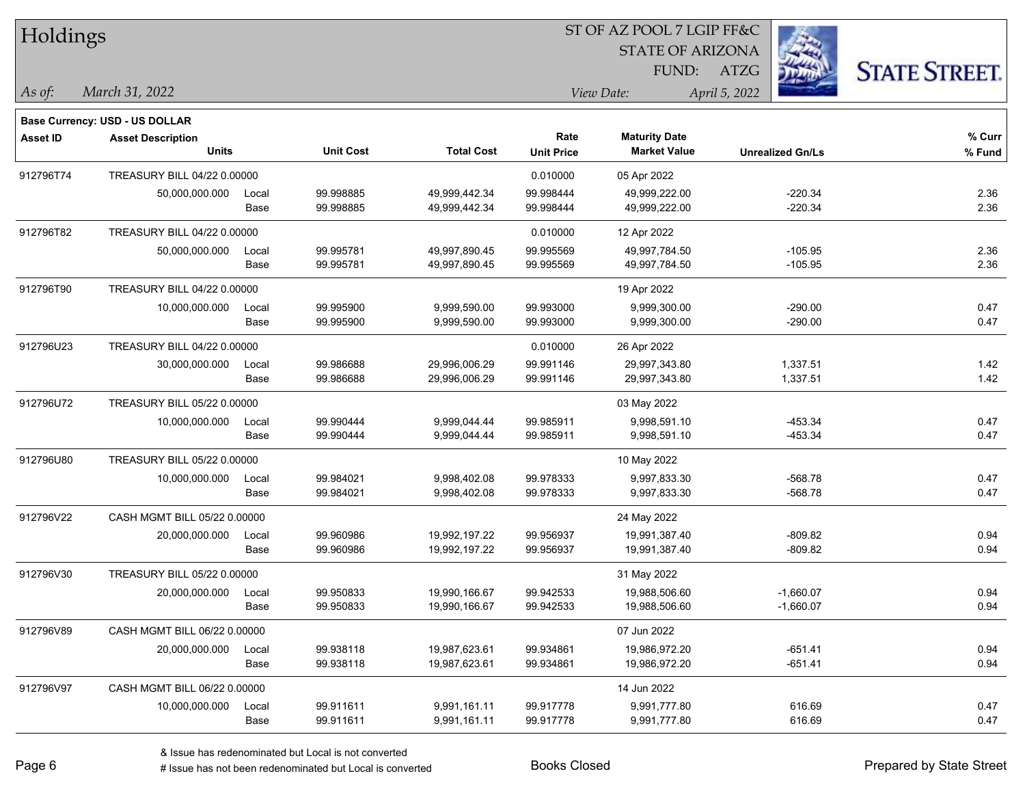| Holdings        |                                       |       |                  |                   |                   |                         |                         |                      |
|-----------------|---------------------------------------|-------|------------------|-------------------|-------------------|-------------------------|-------------------------|----------------------|
|                 |                                       |       |                  |                   |                   | <b>STATE OF ARIZONA</b> |                         |                      |
|                 |                                       |       |                  |                   |                   | FUND:                   | ATZG                    | <b>STATE STREET.</b> |
| As of:          | March 31, 2022                        |       |                  |                   |                   | View Date:              | April 5, 2022           |                      |
|                 | <b>Base Currency: USD - US DOLLAR</b> |       |                  |                   |                   |                         |                         |                      |
| <b>Asset ID</b> | <b>Asset Description</b>              |       |                  |                   | Rate              | <b>Maturity Date</b>    |                         | % Curr               |
|                 | <b>Units</b>                          |       | <b>Unit Cost</b> | <b>Total Cost</b> | <b>Unit Price</b> | <b>Market Value</b>     | <b>Unrealized Gn/Ls</b> | % Fund               |
| 912796T74       | TREASURY BILL 04/22 0.00000           |       |                  |                   | 0.010000          | 05 Apr 2022             |                         |                      |
|                 | 50,000,000.000                        | Local | 99.998885        | 49,999,442.34     | 99.998444         | 49,999,222.00           | $-220.34$               | 2.36                 |
|                 |                                       | Base  | 99.998885        | 49,999,442.34     | 99.998444         | 49,999,222.00           | $-220.34$               | 2.36                 |
| 912796T82       | TREASURY BILL 04/22 0.00000           |       |                  |                   | 0.010000          | 12 Apr 2022             |                         |                      |
|                 | 50,000,000.000                        | Local | 99.995781        | 49,997,890.45     | 99.995569         | 49,997,784.50           | $-105.95$               | 2.36                 |
|                 |                                       | Base  | 99.995781        | 49,997,890.45     | 99.995569         | 49,997,784.50           | $-105.95$               | 2.36                 |
| 912796T90       | TREASURY BILL 04/22 0.00000           |       |                  |                   |                   | 19 Apr 2022             |                         |                      |
|                 | 10,000,000.000                        | Local | 99.995900        | 9,999,590.00      | 99.993000         | 9,999,300.00            | $-290.00$               | 0.47                 |
|                 |                                       | Base  | 99.995900        | 9,999,590.00      | 99.993000         | 9,999,300.00            | $-290.00$               | 0.47                 |
| 912796U23       | TREASURY BILL 04/22 0.00000           |       |                  |                   | 0.010000          | 26 Apr 2022             |                         |                      |
|                 | 30,000,000.000                        | Local | 99.986688        | 29,996,006.29     | 99.991146         | 29,997,343.80           | 1,337.51                | 1.42                 |
|                 |                                       | Base  | 99.986688        | 29,996,006.29     | 99.991146         | 29,997,343.80           | 1,337.51                | 1.42                 |
| 912796U72       | TREASURY BILL 05/22 0.00000           |       |                  |                   |                   | 03 May 2022             |                         |                      |
|                 | 10,000,000.000                        | Local | 99.990444        | 9,999,044.44      | 99.985911         | 9,998,591.10            | $-453.34$               | 0.47                 |
|                 |                                       | Base  | 99.990444        | 9,999,044.44      | 99.985911         | 9,998,591.10            | $-453.34$               | 0.47                 |
| 912796U80       | TREASURY BILL 05/22 0.00000           |       |                  |                   |                   | 10 May 2022             |                         |                      |
|                 | 10,000,000.000                        | Local | 99.984021        | 9,998,402.08      | 99.978333         | 9,997,833.30            | $-568.78$               | 0.47                 |
|                 |                                       | Base  | 99.984021        | 9,998,402.08      | 99.978333         | 9,997,833.30            | $-568.78$               | 0.47                 |
| 912796V22       | CASH MGMT BILL 05/22 0.00000          |       |                  |                   |                   | 24 May 2022             |                         |                      |
|                 | 20,000,000.000                        | Local | 99.960986        | 19,992,197.22     | 99.956937         | 19,991,387.40           | $-809.82$               | 0.94                 |
|                 |                                       | Base  | 99.960986        | 19,992,197.22     | 99.956937         | 19,991,387.40           | $-809.82$               | 0.94                 |
| 912796V30       | TREASURY BILL 05/22 0.00000           |       |                  |                   |                   | 31 May 2022             |                         |                      |
|                 | 20,000,000.000                        | Local | 99.950833        | 19,990,166.67     | 99.942533         | 19,988,506.60           | $-1,660.07$             | 0.94                 |
|                 |                                       | Base  | 99.950833        | 19,990,166.67     | 99.942533         | 19,988,506.60           | $-1,660.07$             | 0.94                 |
| 912796V89       | CASH MGMT BILL 06/22 0.00000          |       |                  |                   |                   | 07 Jun 2022             |                         |                      |
|                 | 20,000,000.000                        | Local | 99.938118        | 19,987,623.61     | 99.934861         | 19,986,972.20           | $-651.41$               | 0.94                 |
|                 |                                       | Base  | 99.938118        | 19,987,623.61     | 99.934861         | 19,986,972.20           | $-651.41$               | 0.94                 |
| 912796V97       | CASH MGMT BILL 06/22 0.00000          |       |                  |                   |                   | 14 Jun 2022             |                         |                      |
|                 | 10,000,000.000                        | Local | 99.911611        | 9,991,161.11      | 99.917778         | 9,991,777.80            | 616.69                  | 0.47                 |
|                 |                                       | Base  | 99.911611        | 9,991,161.11      | 99.917778         | 9,991,777.80            | 616.69                  | 0.47                 |

# Issue has not been redenominated but Local is converted Books Closed Prepared by State Street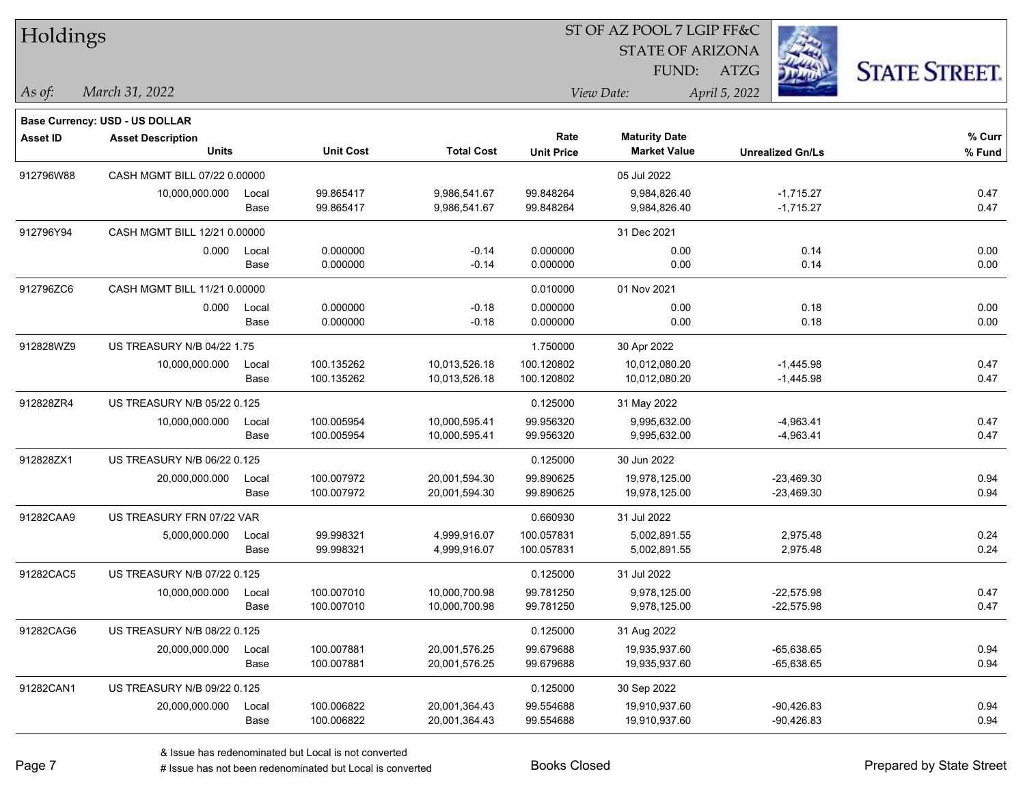| Holdings        |                                |               |                          |                                |                          | ST OF AZ POOL 7 LGIP FF&C      |                            |                      |
|-----------------|--------------------------------|---------------|--------------------------|--------------------------------|--------------------------|--------------------------------|----------------------------|----------------------|
|                 |                                |               |                          |                                |                          | <b>STATE OF ARIZONA</b>        |                            |                      |
|                 |                                |               |                          |                                |                          | FUND:                          | ATZG                       | <b>STATE STREET.</b> |
| As of:          | March 31, 2022                 |               |                          |                                |                          | View Date:                     | April 5, 2022              |                      |
|                 | Base Currency: USD - US DOLLAR |               |                          |                                |                          |                                |                            |                      |
| <b>Asset ID</b> | <b>Asset Description</b>       |               |                          |                                | Rate                     | <b>Maturity Date</b>           |                            | % Curr               |
|                 | <b>Units</b>                   |               | <b>Unit Cost</b>         | <b>Total Cost</b>              | <b>Unit Price</b>        | <b>Market Value</b>            | <b>Unrealized Gn/Ls</b>    | % Fund               |
| 912796W88       | CASH MGMT BILL 07/22 0.00000   |               |                          |                                |                          | 05 Jul 2022                    |                            |                      |
|                 | 10,000,000.000                 | Local         | 99.865417                | 9,986,541.67                   | 99.848264                | 9,984,826.40                   | $-1,715.27$                | 0.47                 |
|                 |                                | Base          | 99.865417                | 9,986,541.67                   | 99.848264                | 9,984,826.40                   | $-1,715.27$                | 0.47                 |
| 912796Y94       | CASH MGMT BILL 12/21 0.00000   |               |                          |                                |                          | 31 Dec 2021                    |                            |                      |
|                 | 0.000                          | Local         | 0.000000                 | $-0.14$                        | 0.000000                 | 0.00                           | 0.14                       | 0.00                 |
|                 |                                | Base          | 0.000000                 | $-0.14$                        | 0.000000                 | 0.00                           | 0.14                       | 0.00                 |
| 912796ZC6       | CASH MGMT BILL 11/21 0.00000   |               |                          |                                | 0.010000                 | 01 Nov 2021                    |                            |                      |
|                 | 0.000                          | Local         | 0.000000                 | $-0.18$                        | 0.000000                 | 0.00                           | 0.18                       | 0.00                 |
|                 |                                | Base          | 0.000000                 | $-0.18$                        | 0.000000                 | 0.00                           | 0.18                       | 0.00                 |
| 912828WZ9       | US TREASURY N/B 04/22 1.75     |               |                          |                                | 1.750000                 | 30 Apr 2022                    |                            |                      |
|                 | 10,000,000.000                 | Local<br>Base | 100.135262<br>100.135262 | 10,013,526.18<br>10,013,526.18 | 100.120802<br>100.120802 | 10,012,080.20<br>10,012,080.20 | $-1,445.98$<br>$-1,445.98$ | 0.47<br>0.47         |
|                 |                                |               |                          |                                |                          |                                |                            |                      |
| 912828ZR4       | US TREASURY N/B 05/22 0.125    |               |                          |                                | 0.125000                 | 31 May 2022                    |                            |                      |
|                 | 10,000,000.000                 | Local<br>Base | 100.005954<br>100.005954 | 10,000,595.41<br>10,000,595.41 | 99.956320<br>99.956320   | 9,995,632.00<br>9,995,632.00   | $-4,963.41$<br>$-4,963.41$ | 0.47<br>0.47         |
|                 | US TREASURY N/B 06/22 0.125    |               |                          |                                |                          |                                |                            |                      |
| 912828ZX1       | 20,000,000.000                 |               | 100.007972               | 20,001,594.30                  | 0.125000<br>99.890625    | 30 Jun 2022<br>19,978,125.00   | $-23,469.30$               | 0.94                 |
|                 |                                | Local<br>Base | 100.007972               | 20,001,594.30                  | 99.890625                | 19,978,125.00                  | $-23,469.30$               | 0.94                 |
| 91282CAA9       | US TREASURY FRN 07/22 VAR      |               |                          |                                | 0.660930                 | 31 Jul 2022                    |                            |                      |
|                 | 5,000,000.000                  | Local         | 99.998321                | 4,999,916.07                   | 100.057831               | 5,002,891.55                   | 2,975.48                   | 0.24                 |
|                 |                                | Base          | 99.998321                | 4,999,916.07                   | 100.057831               | 5,002,891.55                   | 2,975.48                   | 0.24                 |
| 91282CAC5       | US TREASURY N/B 07/22 0.125    |               |                          |                                | 0.125000                 | 31 Jul 2022                    |                            |                      |
|                 | 10,000,000.000                 | Local         | 100.007010               | 10,000,700.98                  | 99.781250                | 9,978,125.00                   | $-22,575.98$               | 0.47                 |
|                 |                                | Base          | 100.007010               | 10,000,700.98                  | 99.781250                | 9,978,125.00                   | $-22,575.98$               | 0.47                 |
| 91282CAG6       | US TREASURY N/B 08/22 0.125    |               |                          |                                | 0.125000                 | 31 Aug 2022                    |                            |                      |
|                 | 20,000,000.000                 | Local         | 100.007881               | 20,001,576.25                  | 99.679688                | 19,935,937.60                  | $-65,638.65$               | 0.94                 |
|                 |                                | Base          | 100.007881               | 20,001,576.25                  | 99.679688                | 19,935,937.60                  | $-65,638.65$               | 0.94                 |
| 91282CAN1       | US TREASURY N/B 09/22 0.125    |               |                          |                                | 0.125000                 | 30 Sep 2022                    |                            |                      |
|                 | 20,000,000.000                 | Local         | 100.006822               | 20,001,364.43                  | 99.554688                | 19,910,937.60                  | $-90,426.83$               | 0.94                 |
|                 |                                | Base          | 100.006822               | 20,001,364.43                  | 99.554688                | 19,910,937.60                  | -90,426.83                 | 0.94                 |

# Issue has not been redenominated but Local is converted Books Closed Prepared by State Street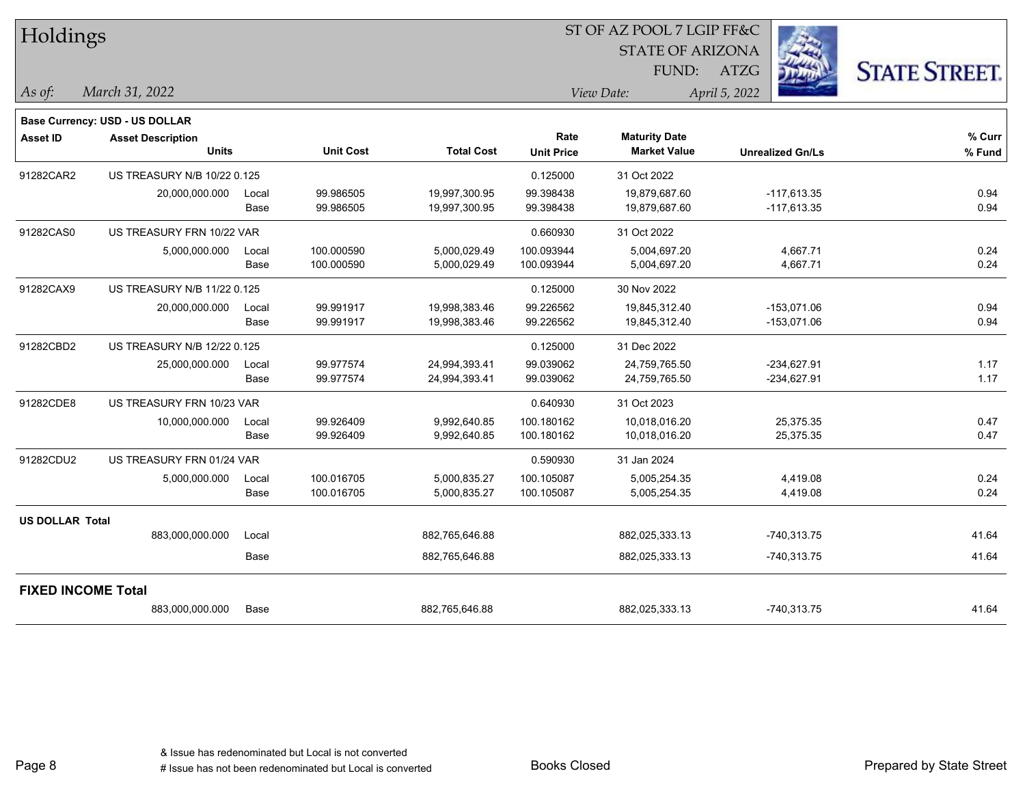| Holdings               |                                       |       |                  |                   |                   | ST OF AZ POOL 7 LGIP FF&C |                         |                      |
|------------------------|---------------------------------------|-------|------------------|-------------------|-------------------|---------------------------|-------------------------|----------------------|
|                        |                                       |       |                  |                   |                   | <b>STATE OF ARIZONA</b>   |                         |                      |
|                        |                                       |       |                  |                   |                   | FUND:                     | <b>ATZG</b>             | <b>STATE STREET.</b> |
| As of:                 | March 31, 2022                        |       |                  |                   |                   | View Date:                | April 5, 2022           |                      |
|                        | <b>Base Currency: USD - US DOLLAR</b> |       |                  |                   |                   |                           |                         |                      |
| <b>Asset ID</b>        | <b>Asset Description</b>              |       |                  |                   | Rate              | <b>Maturity Date</b>      |                         | % Curr               |
|                        | <b>Units</b>                          |       | <b>Unit Cost</b> | <b>Total Cost</b> | <b>Unit Price</b> | <b>Market Value</b>       | <b>Unrealized Gn/Ls</b> | % Fund               |
| 91282CAR2              | US TREASURY N/B 10/22 0.125           |       |                  |                   | 0.125000          | 31 Oct 2022               |                         |                      |
|                        | 20,000,000.000                        | Local | 99.986505        | 19,997,300.95     | 99.398438         | 19,879,687.60             | $-117,613.35$           | 0.94                 |
|                        |                                       | Base  | 99.986505        | 19,997,300.95     | 99.398438         | 19,879,687.60             | $-117,613.35$           | 0.94                 |
| 91282CAS0              | US TREASURY FRN 10/22 VAR             |       |                  |                   | 0.660930          | 31 Oct 2022               |                         |                      |
|                        | 5,000,000.000                         | Local | 100.000590       | 5,000,029.49      | 100.093944        | 5,004,697.20              | 4,667.71                | 0.24                 |
|                        |                                       | Base  | 100.000590       | 5,000,029.49      | 100.093944        | 5,004,697.20              | 4,667.71                | 0.24                 |
| 91282CAX9              | US TREASURY N/B 11/22 0.125           |       |                  |                   | 0.125000          | 30 Nov 2022               |                         |                      |
|                        | 20,000,000.000                        | Local | 99.991917        | 19,998,383.46     | 99.226562         | 19,845,312.40             | $-153,071.06$           | 0.94                 |
|                        |                                       | Base  | 99.991917        | 19,998,383.46     | 99.226562         | 19,845,312.40             | $-153,071.06$           | 0.94                 |
| 91282CBD2              | US TREASURY N/B 12/22 0.125           |       |                  |                   | 0.125000          | 31 Dec 2022               |                         |                      |
|                        | 25,000,000.000                        | Local | 99.977574        | 24,994,393.41     | 99.039062         | 24,759,765.50             | $-234,627.91$           | 1.17                 |
|                        |                                       | Base  | 99.977574        | 24,994,393.41     | 99.039062         | 24,759,765.50             | $-234,627.91$           | 1.17                 |
| 91282CDE8              | US TREASURY FRN 10/23 VAR             |       |                  |                   | 0.640930          | 31 Oct 2023               |                         |                      |
|                        | 10,000,000.000                        | Local | 99.926409        | 9,992,640.85      | 100.180162        | 10,018,016.20             | 25,375.35               | 0.47                 |
|                        |                                       | Base  | 99.926409        | 9,992,640.85      | 100.180162        | 10,018,016.20             | 25,375.35               | 0.47                 |
| 91282CDU2              | US TREASURY FRN 01/24 VAR             |       |                  |                   | 0.590930          | 31 Jan 2024               |                         |                      |
|                        | 5,000,000.000                         | Local | 100.016705       | 5,000,835.27      | 100.105087        | 5,005,254.35              | 4,419.08                | 0.24                 |
|                        |                                       | Base  | 100.016705       | 5,000,835.27      | 100.105087        | 5,005,254.35              | 4,419.08                | 0.24                 |
| <b>US DOLLAR Total</b> |                                       |       |                  |                   |                   |                           |                         |                      |
|                        | 883,000,000.000                       | Local |                  | 882,765,646.88    |                   | 882,025,333.13            | $-740,313.75$           | 41.64                |
|                        |                                       | Base  |                  | 882,765,646.88    |                   | 882,025,333.13            | $-740,313.75$           | 41.64                |
|                        | <b>FIXED INCOME Total</b>             |       |                  |                   |                   |                           |                         |                      |
|                        | 883,000,000.000                       | Base  |                  | 882,765,646.88    |                   | 882,025,333.13            | -740,313.75             | 41.64                |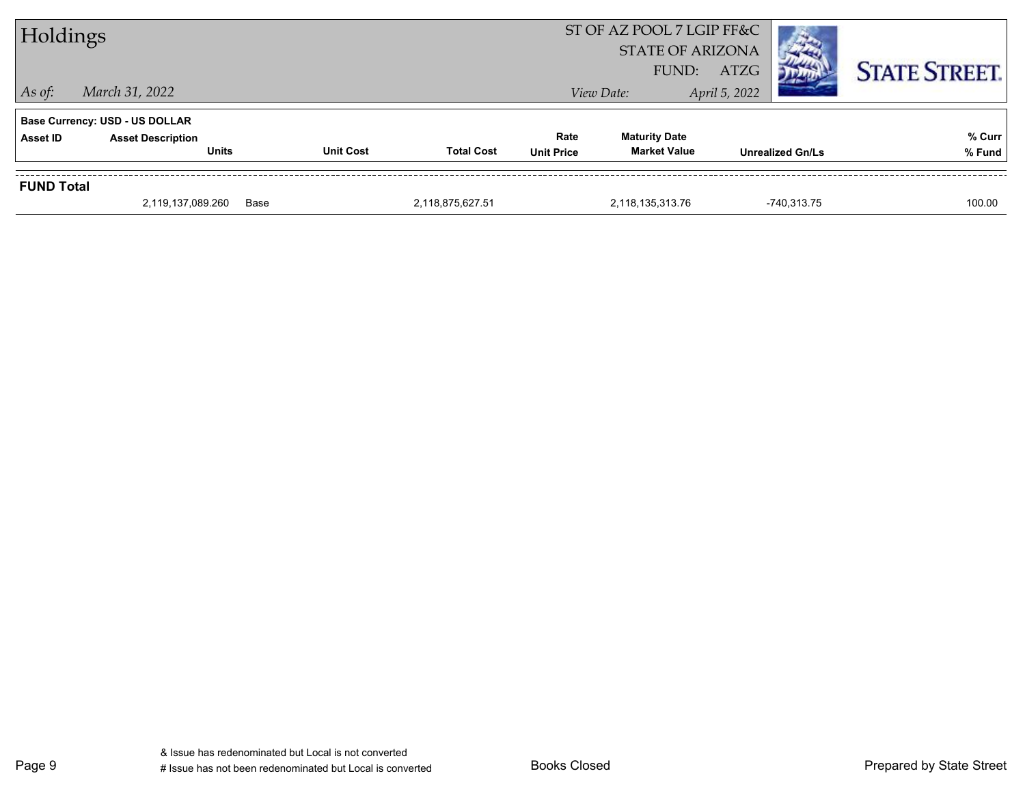|                   | <b>Base Currency: USD - US DOLLAR</b> |                  |                   |                   |                      |                         |        |
|-------------------|---------------------------------------|------------------|-------------------|-------------------|----------------------|-------------------------|--------|
| <b>Asset ID</b>   | <b>Asset Description</b>              |                  |                   | Rate              | <b>Maturity Date</b> |                         | % Curr |
|                   | <b>Units</b>                          | <b>Unit Cost</b> | <b>Total Cost</b> | <b>Unit Price</b> | <b>Market Value</b>  | <b>Unrealized Gn/Ls</b> | % Fund |
| <b>FUND Total</b> |                                       |                  |                   |                   |                      |                         |        |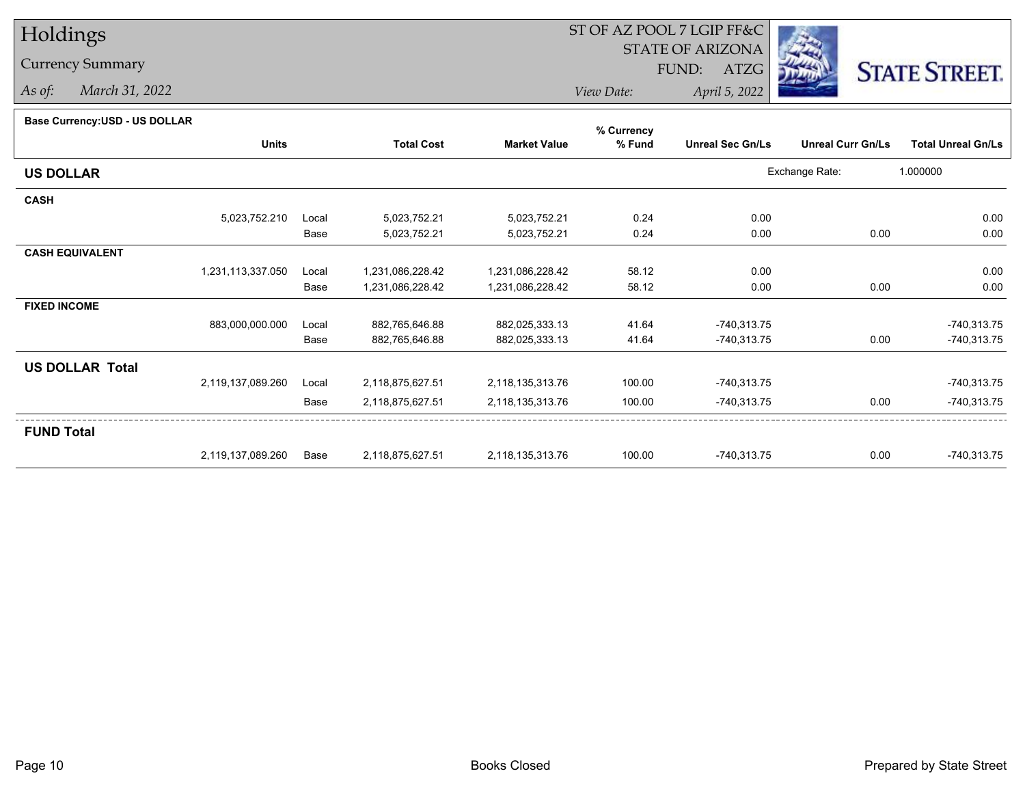# Holdings

### Currency Summary

*As of: March 31, 2022*

## ST OF AZ POOL 7 LGIP FF&C

STATE OF ARIZONA

FUND: ATZG



*View Date:April 5, 2022*

#### **Base Currency:USD - US DOLLAR**

|                        |                   |       |                   |                     | % Currency |                         |                          |                           |
|------------------------|-------------------|-------|-------------------|---------------------|------------|-------------------------|--------------------------|---------------------------|
|                        | <b>Units</b>      |       | <b>Total Cost</b> | <b>Market Value</b> | % Fund     | <b>Unreal Sec Gn/Ls</b> | <b>Unreal Curr Gn/Ls</b> | <b>Total Unreal Gn/Ls</b> |
| <b>US DOLLAR</b>       |                   |       |                   |                     |            |                         | Exchange Rate:           | 1.000000                  |
| <b>CASH</b>            |                   |       |                   |                     |            |                         |                          |                           |
|                        | 5,023,752.210     | Local | 5,023,752.21      | 5,023,752.21        | 0.24       | 0.00                    |                          | 0.00                      |
|                        |                   | Base  | 5,023,752.21      | 5,023,752.21        | 0.24       | 0.00                    | 0.00                     | 0.00                      |
| <b>CASH EQUIVALENT</b> |                   |       |                   |                     |            |                         |                          |                           |
|                        | 1,231,113,337.050 | Local | 1,231,086,228.42  | 1,231,086,228.42    | 58.12      | 0.00                    |                          | 0.00                      |
|                        |                   | Base  | 1,231,086,228.42  | 1,231,086,228.42    | 58.12      | 0.00                    | 0.00                     | 0.00                      |
| <b>FIXED INCOME</b>    |                   |       |                   |                     |            |                         |                          |                           |
|                        | 883,000,000.000   | Local | 882,765,646.88    | 882,025,333.13      | 41.64      | $-740,313.75$           |                          | $-740,313.75$             |
|                        |                   | Base  | 882,765,646.88    | 882,025,333.13      | 41.64      | -740,313.75             | 0.00                     | $-740,313.75$             |
| <b>US DOLLAR Total</b> |                   |       |                   |                     |            |                         |                          |                           |
|                        | 2,119,137,089.260 | Local | 2,118,875,627.51  | 2,118,135,313.76    | 100.00     | -740,313.75             |                          | $-740,313.75$             |
|                        |                   | Base  | 2,118,875,627.51  | 2,118,135,313.76    | 100.00     | $-740,313.75$           | 0.00                     | $-740,313.75$             |
| <b>FUND Total</b>      |                   |       |                   |                     |            |                         |                          |                           |
|                        | 2,119,137,089.260 | Base  | 2,118,875,627.51  | 2,118,135,313.76    | 100.00     | -740,313.75             | 0.00                     | $-740,313.75$             |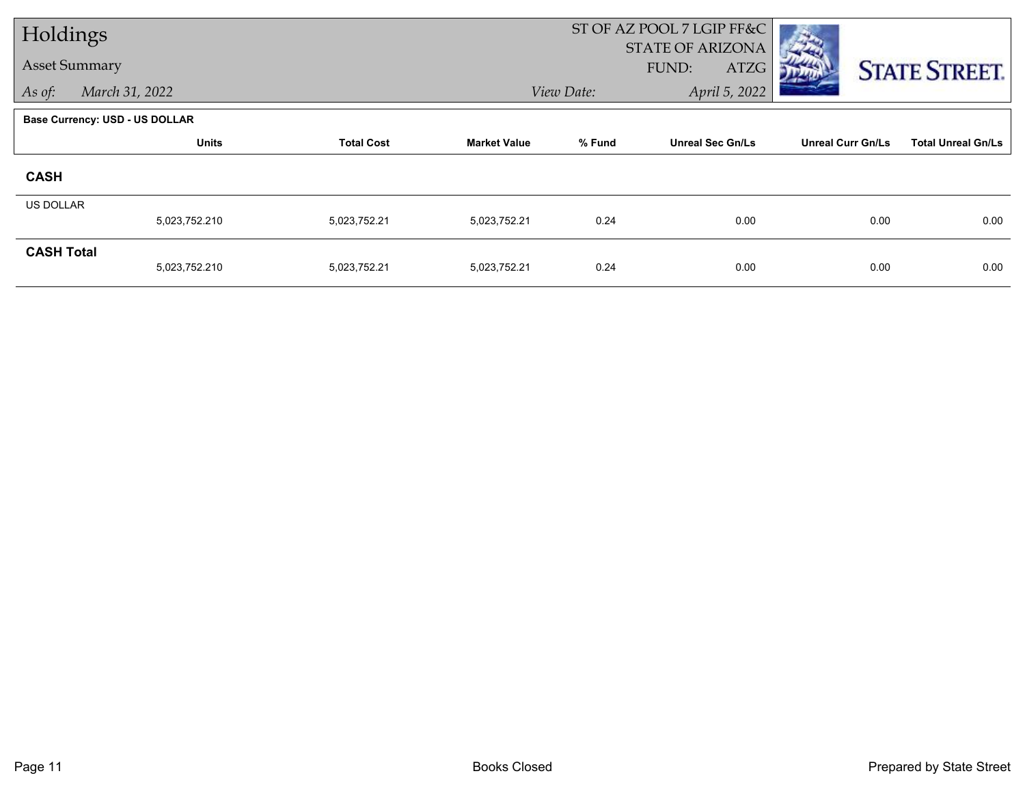| Holdings             |                                       |                   |                     |            | ST OF AZ POOL 7 LGIP FF&C<br><b>STATE OF ARIZONA</b> |                          |                           |
|----------------------|---------------------------------------|-------------------|---------------------|------------|------------------------------------------------------|--------------------------|---------------------------|
| <b>Asset Summary</b> |                                       |                   |                     |            | FUND:<br>ATZG                                        |                          | <b>STATE STREET.</b>      |
| As of:               | March 31, 2022                        |                   |                     | View Date: | April 5, 2022                                        |                          |                           |
|                      | <b>Base Currency: USD - US DOLLAR</b> |                   |                     |            |                                                      |                          |                           |
|                      | <b>Units</b>                          | <b>Total Cost</b> | <b>Market Value</b> | % Fund     | <b>Unreal Sec Gn/Ls</b>                              | <b>Unreal Curr Gn/Ls</b> | <b>Total Unreal Gn/Ls</b> |
| <b>CASH</b>          |                                       |                   |                     |            |                                                      |                          |                           |
| <b>US DOLLAR</b>     | 5,023,752.210                         | 5,023,752.21      | 5,023,752.21        | 0.24       | 0.00                                                 | 0.00                     | 0.00                      |
| <b>CASH Total</b>    |                                       |                   |                     |            |                                                      |                          |                           |
|                      | 5,023,752.210                         | 5,023,752.21      | 5,023,752.21        | 0.24       | 0.00                                                 | 0.00                     | 0.00                      |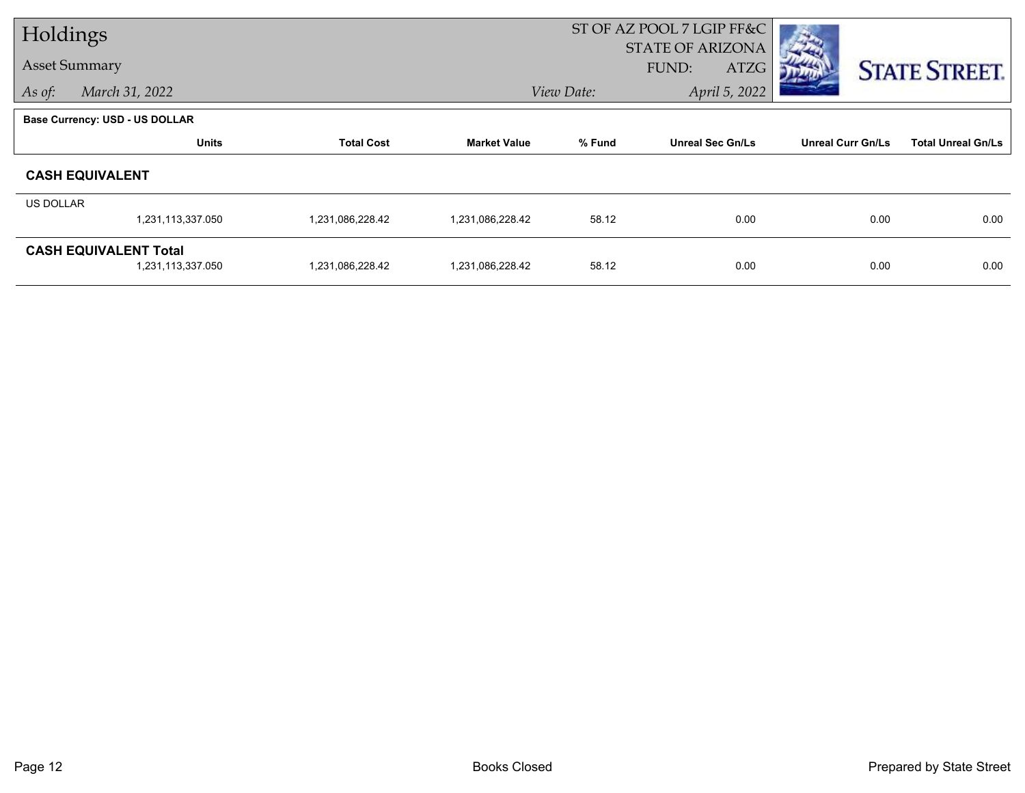| Holdings             |                                |                   |                     | ST OF AZ POOL 7 LGIP FF&C |                         |                          |                           |
|----------------------|--------------------------------|-------------------|---------------------|---------------------------|-------------------------|--------------------------|---------------------------|
| <b>Asset Summary</b> |                                |                   |                     |                           | <b>STATE OF ARIZONA</b> |                          |                           |
|                      |                                |                   |                     |                           | FUND:<br>ATZG           |                          | <b>STATE STREET.</b>      |
| As of:               | March 31, 2022                 |                   |                     | View Date:                | April 5, 2022           |                          |                           |
|                      | Base Currency: USD - US DOLLAR |                   |                     |                           |                         |                          |                           |
|                      | <b>Units</b>                   | <b>Total Cost</b> | <b>Market Value</b> | % Fund                    | <b>Unreal Sec Gn/Ls</b> | <b>Unreal Curr Gn/Ls</b> | <b>Total Unreal Gn/Ls</b> |
|                      | <b>CASH EQUIVALENT</b>         |                   |                     |                           |                         |                          |                           |
| US DOLLAR            |                                |                   |                     |                           |                         |                          |                           |
|                      | 1,231,113,337.050              | 1,231,086,228.42  | 1,231,086,228.42    | 58.12                     | 0.00                    | 0.00                     | 0.00                      |
|                      | <b>CASH EQUIVALENT Total</b>   |                   |                     |                           |                         |                          |                           |
|                      | 1,231,113,337.050              | 1,231,086,228.42  | 1,231,086,228.42    | 58.12                     | 0.00                    | 0.00                     | 0.00                      |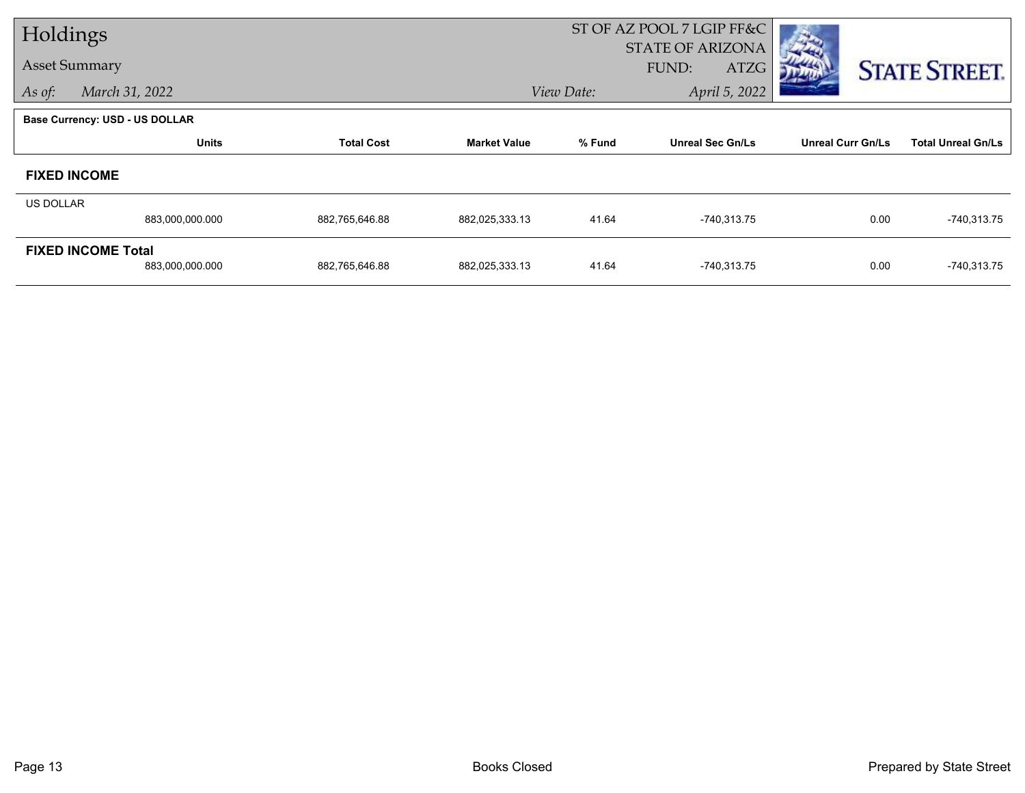| Holdings                  |                                       |                   |                     | ST OF AZ POOL 7 LGIP FF&C |                                          |                          |                           |
|---------------------------|---------------------------------------|-------------------|---------------------|---------------------------|------------------------------------------|--------------------------|---------------------------|
| <b>Asset Summary</b>      |                                       |                   |                     |                           | <b>STATE OF ARIZONA</b><br>FUND:<br>ATZG |                          |                           |
|                           |                                       |                   |                     | April 5, 2022             |                                          | <b>STATE STREET.</b>     |                           |
| As of:                    | March 31, 2022                        |                   |                     | View Date:                |                                          |                          |                           |
|                           | <b>Base Currency: USD - US DOLLAR</b> |                   |                     |                           |                                          |                          |                           |
|                           | <b>Units</b>                          | <b>Total Cost</b> | <b>Market Value</b> | % Fund                    | <b>Unreal Sec Gn/Ls</b>                  | <b>Unreal Curr Gn/Ls</b> | <b>Total Unreal Gn/Ls</b> |
|                           | <b>FIXED INCOME</b>                   |                   |                     |                           |                                          |                          |                           |
| US DOLLAR                 |                                       |                   |                     |                           |                                          |                          |                           |
|                           | 883,000,000.000                       | 882,765,646.88    | 882,025,333.13      | 41.64                     | $-740,313.75$                            | 0.00                     | $-740,313.75$             |
| <b>FIXED INCOME Total</b> |                                       |                   |                     |                           |                                          |                          |                           |
|                           | 883,000,000.000                       | 882,765,646.88    | 882,025,333.13      | 41.64                     | $-740,313.75$                            | 0.00                     | $-740,313.75$             |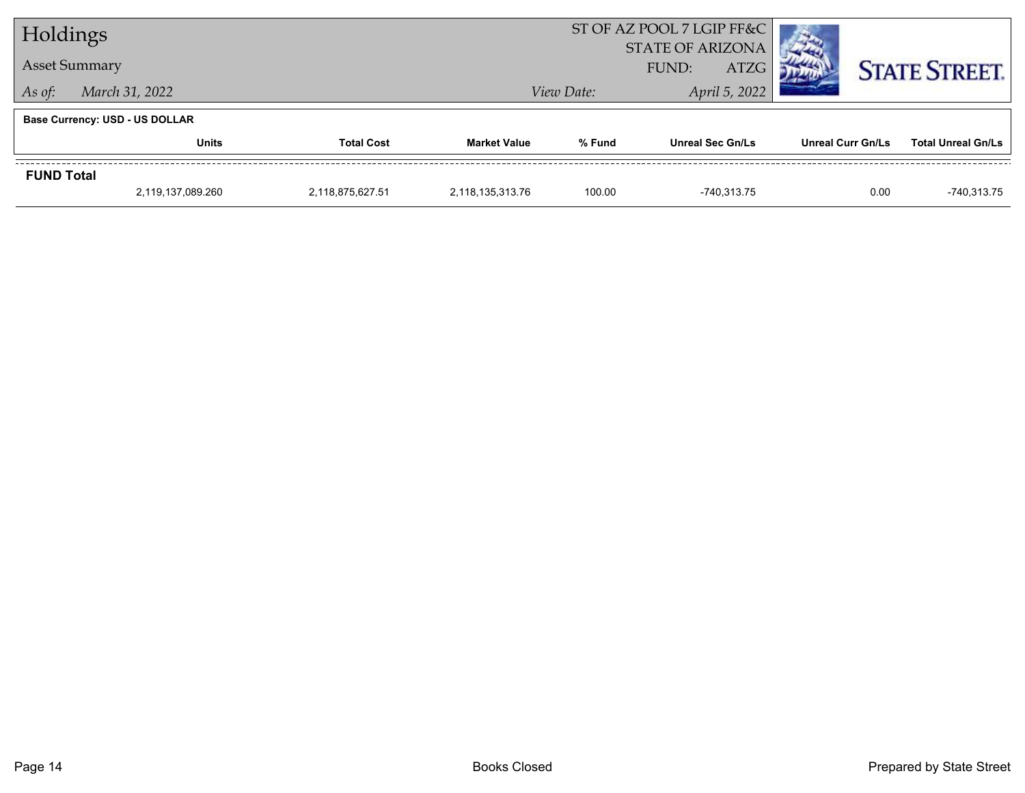| Holdings          |                                       |                   |                     | ST OF AZ POOL 7 LGIP FF&C<br><b>STATE OF ARIZONA</b> |                         |                   |                           |  |
|-------------------|---------------------------------------|-------------------|---------------------|------------------------------------------------------|-------------------------|-------------------|---------------------------|--|
|                   | <b>Asset Summary</b>                  |                   |                     | <b>ATZG</b><br>FUND:                                 |                         |                   | <b>STATE STREET.</b>      |  |
| As of:            | March 31, 2022                        |                   |                     | View Date:                                           |                         |                   |                           |  |
|                   | <b>Base Currency: USD - US DOLLAR</b> |                   |                     |                                                      |                         |                   |                           |  |
|                   | <b>Units</b>                          | <b>Total Cost</b> | <b>Market Value</b> | % Fund                                               | <b>Unreal Sec Gn/Ls</b> | Unreal Curr Gn/Ls | <b>Total Unreal Gn/Ls</b> |  |
| <b>FUND Total</b> |                                       |                   |                     |                                                      |                         |                   |                           |  |
|                   | 2,119,137,089.260                     | 2,118,875,627.51  | 2,118,135,313.76    | 100.00                                               | -740.313.75             | 0.00              | -740,313.75               |  |